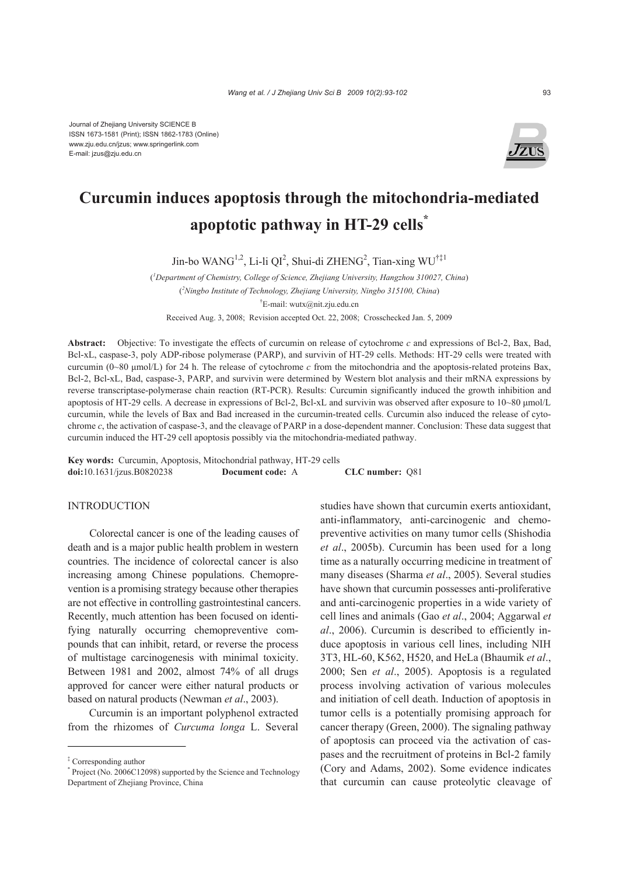

# **Curcumin induces apoptosis through the mitochondria-mediated apoptotic pathway in HT-29 cells\***

Jin-bo WANG<sup>1,2</sup>, Li-li QI<sup>2</sup>, Shui-di ZHENG<sup>2</sup>, Tian-xing WU<sup>†‡1</sup>

( *1 Department of Chemistry, College of Science, Zhejiang University, Hangzhou 310027, China*) ( *2 Ningbo Institute of Technology, Zhejiang University, Ningbo 315100, China*) † E-mail: wutx@nit.zju.edu.cn

Received Aug. 3, 2008; Revision accepted Oct. 22, 2008; Crosschecked Jan. 5, 2009

**Abstract:** Objective: To investigate the effects of curcumin on release of cytochrome *c* and expressions of Bcl-2, Bax, Bad, Bcl-xL, caspase-3, poly ADP-ribose polymerase (PARP), and survivin of HT-29 cells. Methods: HT-29 cells were treated with curcumin (0~80 μmol/L) for 24 h. The release of cytochrome *c* from the mitochondria and the apoptosis-related proteins Bax, Bcl-2, Bcl-xL, Bad, caspase-3, PARP, and survivin were determined by Western blot analysis and their mRNA expressions by reverse transcriptase-polymerase chain reaction (RT-PCR). Results: Curcumin significantly induced the growth inhibition and apoptosis of HT-29 cells. A decrease in expressions of Bcl-2, Bcl-xL and survivin was observed after exposure to 10~80 μmol/L curcumin, while the levels of Bax and Bad increased in the curcumin-treated cells. Curcumin also induced the release of cytochrome *c*, the activation of caspase-3, and the cleavage of PARP in a dose-dependent manner. Conclusion: These data suggest that curcumin induced the HT-29 cell apoptosis possibly via the mitochondria-mediated pathway.

**Key words:** Curcumin, Apoptosis, Mitochondrial pathway, HT-29 cells **doi:**10.1631/jzus.B0820238 **Document code:** A **CLC number:** Q81

# INTRODUCTION

Colorectal cancer is one of the leading causes of death and is a major public health problem in western countries. The incidence of colorectal cancer is also increasing among Chinese populations. Chemoprevention is a promising strategy because other therapies are not effective in controlling gastrointestinal cancers. Recently, much attention has been focused on identifying naturally occurring chemopreventive compounds that can inhibit, retard, or reverse the process of multistage carcinogenesis with minimal toxicity. Between 1981 and 2002, almost 74% of all drugs approved for cancer were either natural products or based on natural products (Newman *et al*., 2003).

Curcumin is an important polyphenol extracted from the rhizomes of *Curcuma longa* L. Several studies have shown that curcumin exerts antioxidant, anti-inflammatory, anti-carcinogenic and chemopreventive activities on many tumor cells (Shishodia *et al*., 2005b). Curcumin has been used for a long time as a naturally occurring medicine in treatment of many diseases (Sharma *et al*., 2005). Several studies have shown that curcumin possesses anti-proliferative and anti-carcinogenic properties in a wide variety of cell lines and animals (Gao *et al*., 2004; Aggarwal *et al*., 2006). Curcumin is described to efficiently induce apoptosis in various cell lines, including NIH 3T3, HL-60, K562, H520, and HeLa (Bhaumik *et al*., 2000; Sen *et al*., 2005). Apoptosis is a regulated process involving activation of various molecules and initiation of cell death. Induction of apoptosis in tumor cells is a potentially promising approach for cancer therapy (Green, 2000). The signaling pathway of apoptosis can proceed via the activation of caspases and the recruitment of proteins in Bcl-2 family (Cory and Adams, 2002). Some evidence indicates that curcumin can cause proteolytic cleavage of

<sup>‡</sup> Corresponding author

<sup>\*</sup> Project (No. 2006C12098) supported by the Science and Technology Department of Zhejiang Province, China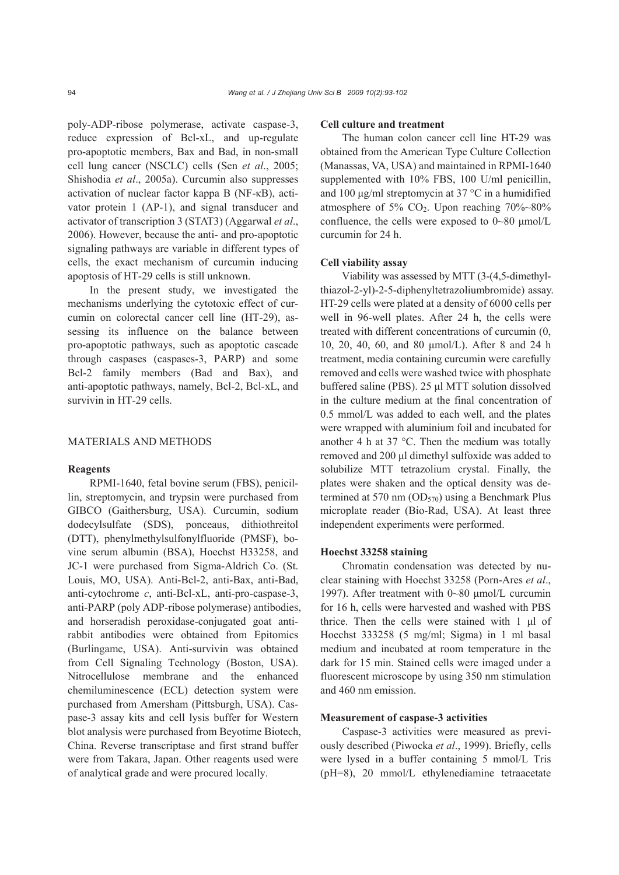poly-ADP-ribose polymerase, activate caspase-3, reduce expression of Bcl-xL, and up-regulate pro-apoptotic members, Bax and Bad, in non-small cell lung cancer (NSCLC) cells (Sen *et al*., 2005; Shishodia *et al*., 2005a). Curcumin also suppresses activation of nuclear factor kappa B (NF-κB), activator protein 1 (AP-1), and signal transducer and activator of transcription 3 (STAT3) (Aggarwal *et al*., 2006). However, because the anti- and pro-apoptotic signaling pathways are variable in different types of cells, the exact mechanism of curcumin inducing apoptosis of HT-29 cells is still unknown.

In the present study, we investigated the mechanisms underlying the cytotoxic effect of curcumin on colorectal cancer cell line (HT-29), assessing its influence on the balance between pro-apoptotic pathways, such as apoptotic cascade through caspases (caspases-3, PARP) and some Bcl-2 family members (Bad and Bax), and anti-apoptotic pathways, namely, Bcl-2, Bcl-xL, and survivin in HT-29 cells.

# MATERIALS AND METHODS

#### **Reagents**

RPMI-1640, fetal bovine serum (FBS), penicillin, streptomycin, and trypsin were purchased from GIBCO (Gaithersburg, USA). Curcumin, sodium dodecylsulfate (SDS), ponceaus, dithiothreitol (DTT), phenylmethylsulfonylfluoride (PMSF), bovine serum albumin (BSA), Hoechst H33258, and JC-1 were purchased from Sigma-Aldrich Co. (St. Louis, MO, USA). Anti-Bcl-2, anti-Bax, anti-Bad, anti-cytochrome *c*, anti-Bcl-xL, anti-pro-caspase-3, anti-PARP (poly ADP-ribose polymerase) antibodies, and horseradish peroxidase-conjugated goat antirabbit antibodies were obtained from Epitomics (Burlingame, USA). Anti-survivin was obtained from Cell Signaling Technology (Boston, USA). Nitrocellulose membrane and the enhanced chemiluminescence (ECL) detection system were purchased from Amersham (Pittsburgh, USA). Caspase-3 assay kits and cell lysis buffer for Western blot analysis were purchased from Beyotime Biotech, China. Reverse transcriptase and first strand buffer were from Takara, Japan. Other reagents used were of analytical grade and were procured locally.

## **Cell culture and treatment**

The human colon cancer cell line HT-29 was obtained from the American Type Culture Collection (Manassas, VA, USA) and maintained in RPMI-1640 supplemented with 10% FBS, 100 U/ml penicillin, and 100 μg/ml streptomycin at 37 °C in a humidified atmosphere of 5%  $CO<sub>2</sub>$ . Upon reaching 70%~80% confluence, the cells were exposed to 0~80 μmol/L curcumin for 24 h.

## **Cell viability assay**

Viability was assessed by MTT (3-(4,5-dimethylthiazol-2-yl)-2-5-diphenyltetrazoliumbromide) assay. HT-29 cells were plated at a density of 6000 cells per well in 96-well plates. After 24 h, the cells were treated with different concentrations of curcumin (0, 10, 20, 40, 60, and 80 μmol/L). After 8 and 24 h treatment, media containing curcumin were carefully removed and cells were washed twice with phosphate buffered saline (PBS). 25 μl MTT solution dissolved in the culture medium at the final concentration of 0.5 mmol/L was added to each well, and the plates were wrapped with aluminium foil and incubated for another 4 h at 37 °C. Then the medium was totally removed and 200 μl dimethyl sulfoxide was added to solubilize MTT tetrazolium crystal. Finally, the plates were shaken and the optical density was determined at 570 nm  $(OD_{570})$  using a Benchmark Plus microplate reader (Bio-Rad, USA). At least three independent experiments were performed.

# **Hoechst 33258 staining**

Chromatin condensation was detected by nuclear staining with Hoechst 33258 (Porn-Ares *et al*., 1997). After treatment with 0~80 μmol/L curcumin for 16 h, cells were harvested and washed with PBS thrice. Then the cells were stained with 1 μl of Hoechst 333258 (5 mg/ml; Sigma) in 1 ml basal medium and incubated at room temperature in the dark for 15 min. Stained cells were imaged under a fluorescent microscope by using 350 nm stimulation and 460 nm emission.

## **Measurement of caspase-3 activities**

Caspase-3 activities were measured as previously described (Piwocka *et al*., 1999). Briefly, cells were lysed in a buffer containing 5 mmol/L Tris (pH=8), 20 mmol/L ethylenediamine tetraacetate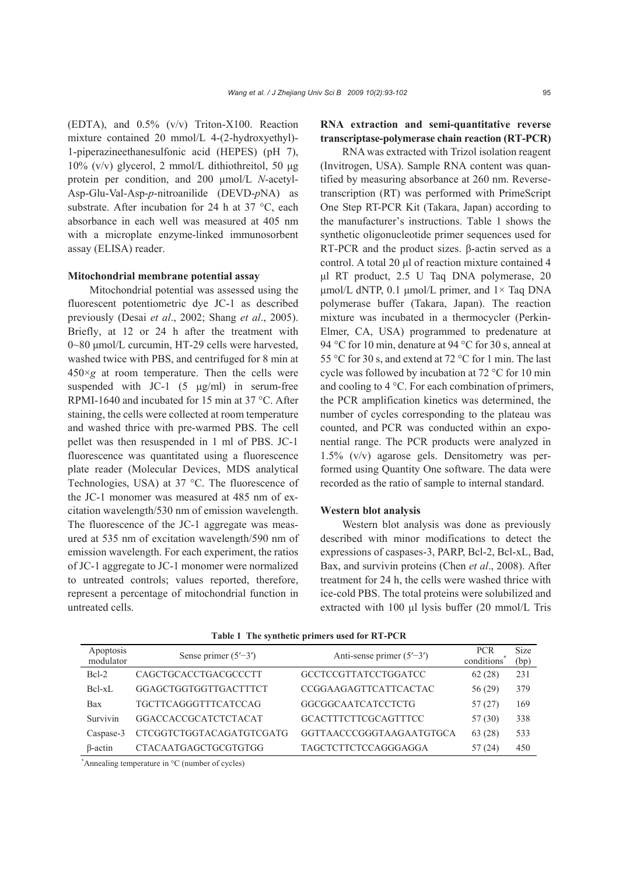(EDTA), and 0.5% (v/v) Triton-X100. Reaction mixture contained 20 mmol/L 4-(2-hydroxyethyl)- 1-piperazineethanesulfonic acid (HEPES) (pH 7), 10% (v/v) glycerol, 2 mmol/L dithiothreitol, 50 μg protein per condition, and 200 μmol/L *N*-acetyl-Asp-Glu-Val-Asp-*p*-nitroanilide (DEVD-*p*NA) as substrate. After incubation for 24 h at 37 °C, each absorbance in each well was measured at 405 nm with a microplate enzyme-linked immunosorbent assay (ELISA) reader.

## **Mitochondrial membrane potential assay**

Mitochondrial potential was assessed using the fluorescent potentiometric dye JC-1 as described previously (Desai *et al*., 2002; Shang *et al*., 2005). Briefly, at 12 or 24 h after the treatment with 0~80 μmol/L curcumin, HT-29 cells were harvested, washed twice with PBS, and centrifuged for 8 min at  $450\times g$  at room temperature. Then the cells were suspended with JC-1  $(5 \text{ µg/ml})$  in serum-free RPMI-1640 and incubated for 15 min at 37 °C. After staining, the cells were collected at room temperature and washed thrice with pre-warmed PBS. The cell pellet was then resuspended in 1 ml of PBS. JC-1 fluorescence was quantitated using a fluorescence plate reader (Molecular Devices, MDS analytical Technologies, USA) at 37 °C. The fluorescence of the JC-1 monomer was measured at 485 nm of excitation wavelength/530 nm of emission wavelength. The fluorescence of the JC-1 aggregate was measured at 535 nm of excitation wavelength/590 nm of emission wavelength. For each experiment, the ratios of JC-1 aggregate to JC-1 monomer were normalized to untreated controls; values reported, therefore, represent a percentage of mitochondrial function in untreated cells.

# **RNA extraction and semi-quantitative reverse transcriptase-polymerase chain reaction (RT-PCR)**

RNA was extracted with Trizol isolation reagent (Invitrogen, USA). Sample RNA content was quantified by measuring absorbance at 260 nm. Reversetranscription (RT) was performed with PrimeScript One Step RT-PCR Kit (Takara, Japan) according to the manufacturer's instructions. Table 1 shows the synthetic oligonucleotide primer sequences used for RT-PCR and the product sizes. β-actin served as a control. A total 20 μl of reaction mixture contained 4 μl RT product, 2.5 U Taq DNA polymerase, 20 μmol/L dNTP, 0.1 μmol/L primer, and  $1 \times$  Taq DNA polymerase buffer (Takara, Japan). The reaction mixture was incubated in a thermocycler (Perkin-Elmer, CA, USA) programmed to predenature at 94 °C for 10 min, denature at 94 °C for 30 s, anneal at 55 °C for 30 s, and extend at 72 °C for 1 min. The last cycle was followed by incubation at 72 °C for 10 min and cooling to 4 °C. For each combination of primers, the PCR amplification kinetics was determined, the number of cycles corresponding to the plateau was counted, and PCR was conducted within an exponential range. The PCR products were analyzed in 1.5% (v/v) agarose gels. Densitometry was performed using Quantity One software. The data were recorded as the ratio of sample to internal standard.

#### **Western blot analysis**

Western blot analysis was done as previously described with minor modifications to detect the expressions of caspases-3, PARP, Bcl-2, Bcl-xL, Bad, Bax, and survivin proteins (Chen *et al*., 2008). After treatment for 24 h, the cells were washed thrice with ice-cold PBS. The total proteins were solubilized and extracted with 100 μl lysis buffer (20 mmol/L Tris

| Apoptosis<br>modulator | Sense primer $(5'–3')$      | Anti-sense primer $(5'–3')$ | <b>PCR</b><br>conditions | <b>Size</b><br>(bp) |
|------------------------|-----------------------------|-----------------------------|--------------------------|---------------------|
| $Bcl-2$                | CAGCTGCACCTGACGCCCTT        | <b>GCCTCCGTTATCCTGGATCC</b> | 62(28)                   | 231                 |
| $Bcl-xL$               | GGAGCTGGTGGTTGACTTTCT       | CCGGAAGAGTTCATTCACTAC       | 56(29)                   | 379                 |
| Bax                    | <b>TGCTTCAGGGTTTCATCCAG</b> | GGCGGCAATCATCCTCTG          | 57(27)                   | 169                 |
| Survivin               | GGACCACCGCATCTCTACAT        | <b>GCACTTTCTTCGCAGTTTCC</b> | 57 (30)                  | 338                 |
| Caspase-3              | CTCGGTCTGGTACAGATGTCGATG    | GGTTAACCCGGGTAAGAATGTGCA    | 63 (28)                  | 533                 |
| $\beta$ -actin         | CTACAATGAGCTGCGTGTGG        | <b>TAGCTCTTCTCCAGGGAGGA</b> | 57(24)                   | 450                 |

**Table 1 The synthetic primers used for RT-PCR** 

\* Annealing temperature in °C (number of cycles)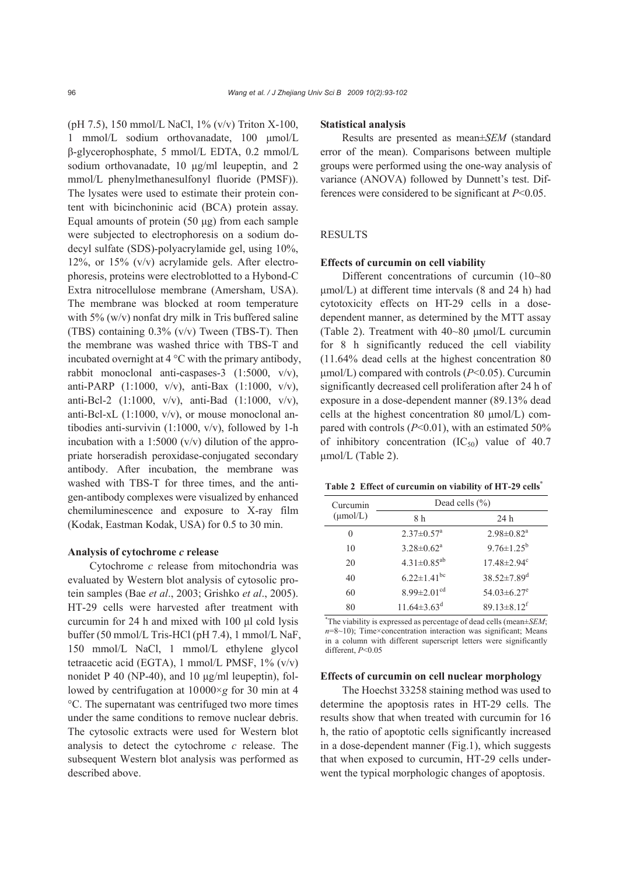(pH 7.5), 150 mmol/L NaCl, 1% (v/v) Triton X-100, 1 mmol/L sodium orthovanadate, 100 μmol/L β-glycerophosphate, 5 mmol/L EDTA, 0.2 mmol/L sodium orthovanadate, 10 μg/ml leupeptin, and 2 mmol/L phenylmethanesulfonyl fluoride (PMSF)). The lysates were used to estimate their protein content with bicinchoninic acid (BCA) protein assay. Equal amounts of protein (50 μg) from each sample were subjected to electrophoresis on a sodium dodecyl sulfate (SDS)-polyacrylamide gel, using 10%, 12%, or 15% (v/v) acrylamide gels. After electrophoresis, proteins were electroblotted to a Hybond-C Extra nitrocellulose membrane (Amersham, USA). The membrane was blocked at room temperature with 5% (w/v) nonfat dry milk in Tris buffered saline (TBS) containing 0.3% (v/v) Tween (TBS-T). Then the membrane was washed thrice with TBS-T and incubated overnight at 4 °C with the primary antibody, rabbit monoclonal anti-caspases-3 (1:5000, v/v), anti-PARP (1:1000, v/v), anti-Bax (1:1000, v/v), anti-Bcl-2 (1:1000, v/v), anti-Bad (1:1000, v/v), anti-Bcl-xL  $(1:1000, v/v)$ , or mouse monoclonal antibodies anti-survivin (1:1000, v/v), followed by 1-h incubation with a 1:5000  $(v/v)$  dilution of the appropriate horseradish peroxidase-conjugated secondary antibody. After incubation, the membrane was washed with TBS-T for three times, and the antigen-antibody complexes were visualized by enhanced chemiluminescence and exposure to X-ray film (Kodak, Eastman Kodak, USA) for 0.5 to 30 min.

## **Analysis of cytochrome** *c* **release**

Cytochrome *c* release from mitochondria was evaluated by Western blot analysis of cytosolic protein samples (Bae *et al*., 2003; Grishko *et al*., 2005). HT-29 cells were harvested after treatment with curcumin for 24 h and mixed with 100 μl cold lysis buffer (50 mmol/L Tris-HCl (pH 7.4), 1 mmol/L NaF, 150 mmol/L NaCl, 1 mmol/L ethylene glycol tetraacetic acid (EGTA), 1 mmol/L PMSF, 1% (v/v) nonidet P 40 (NP-40), and 10 μg/ml leupeptin), followed by centrifugation at 10000×*g* for 30 min at 4 °C. The supernatant was centrifuged two more times under the same conditions to remove nuclear debris. The cytosolic extracts were used for Western blot analysis to detect the cytochrome *c* release. The subsequent Western blot analysis was performed as described above.

#### **Statistical analysis**

Results are presented as mean±*SEM* (standard error of the mean). Comparisons between multiple groups were performed using the one-way analysis of variance (ANOVA) followed by Dunnett's test. Differences were considered to be significant at *P*<0.05.

# RESULTS

#### **Effects of curcumin on cell viability**

Different concentrations of curcumin (10~80 μmol/L) at different time intervals (8 and 24 h) had cytotoxicity effects on HT-29 cells in a dosedependent manner, as determined by the MTT assay (Table 2). Treatment with 40~80 μmol/L curcumin for 8 h significantly reduced the cell viability (11.64% dead cells at the highest concentration 80 μmol/L) compared with controls (*P*<0.05). Curcumin significantly decreased cell proliferation after 24 h of exposure in a dose-dependent manner (89.13% dead cells at the highest concentration 80 μmol/L) compared with controls (*P*<0.01), with an estimated 50% of inhibitory concentration  $(IC_{50})$  value of 40.7 μmol/L (Table 2).

**Table 2 Effect of curcumin on viability of HT-29 cells\***

| Curcumin             | Dead cells $(\% )$            |                               |  |
|----------------------|-------------------------------|-------------------------------|--|
| $(\mu \text{mol/L})$ | 8 h                           | 24 h                          |  |
| 0                    | $2.37 \pm 0.57$ <sup>a</sup>  | $2.98 \pm 0.82$ <sup>a</sup>  |  |
| 10                   | $3.28 \pm 0.62^a$             | $9.76 \pm 1.25^b$             |  |
| 20                   | $4.31 \pm 0.85^{ab}$          | $17.48 \pm 2.94$ <sup>c</sup> |  |
| 40                   | $6.22 \pm 1.41$ <sup>bc</sup> | $38.52 \pm 7.89$ <sup>d</sup> |  |
| 60                   | $8.99 \pm 2.01$ <sup>cd</sup> | 54.03 $\pm$ 6.27 <sup>e</sup> |  |
| 80                   | $11.64 \pm 3.63^{\text{d}}$   | $89.13 \pm 8.12$ <sup>f</sup> |  |

\* The viability is expressed as percentage of dead cells (mean±*SEM*;  $n=8$ ~10); Time×concentration interaction was significant; Means in a column with different superscript letters were significantly different, *P*<0.05

## **Effects of curcumin on cell nuclear morphology**

The Hoechst 33258 staining method was used to determine the apoptosis rates in HT-29 cells. The results show that when treated with curcumin for 16 h, the ratio of apoptotic cells significantly increased in a dose-dependent manner (Fig.1), which suggests that when exposed to curcumin, HT-29 cells underwent the typical morphologic changes of apoptosis.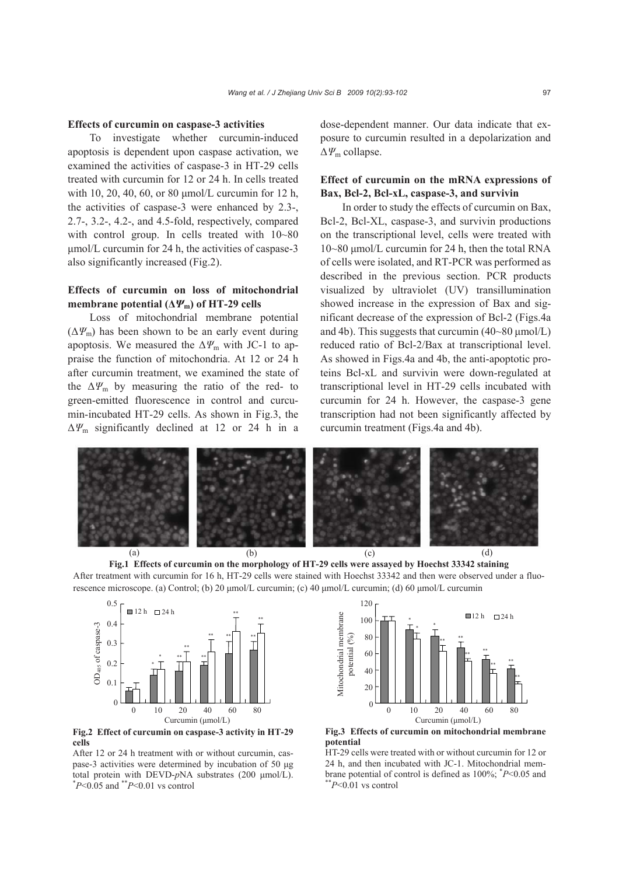# **Effects of curcumin on caspase-3 activities**

To investigate whether curcumin-induced apoptosis is dependent upon caspase activation, we examined the activities of caspase-3 in HT-29 cells treated with curcumin for 12 or 24 h. In cells treated with 10, 20, 40, 60, or 80 μmol/L curcumin for 12 h, the activities of caspase-3 were enhanced by 2.3-, 2.7-, 3.2-, 4.2-, and 4.5-fold, respectively, compared with control group. In cells treated with  $10~80$ μmol/L curcumin for 24 h, the activities of caspase-3 also significantly increased (Fig.2).

# **Effects of curcumin on loss of mitochondrial membrane potential (** $\Delta \Psi_m$ **) of HT-29 cells**

Loss of mitochondrial membrane potential  $(\Delta \Psi_{\rm m})$  has been shown to be an early event during apoptosis. We measured the  $\Delta \varPsi_m$  with JC-1 to appraise the function of mitochondria. At 12 or 24 h after curcumin treatment, we examined the state of the  $\Delta \Psi_{\rm m}$  by measuring the ratio of the red- to green-emitted fluorescence in control and curcumin-incubated HT-29 cells. As shown in Fig.3, the Δ*Ψ*m significantly declined at 12 or 24 h in a dose-dependent manner. Our data indicate that exposure to curcumin resulted in a depolarization and Δ*Ψ*m collapse.

# **Effect of curcumin on the mRNA expressions of Bax, Bcl-2, Bcl-xL, caspase-3, and survivin**

In order to study the effects of curcumin on Bax, Bcl-2, Bcl-XL, caspase-3, and survivin productions on the transcriptional level, cells were treated with 10~80 μmol/L curcumin for 24 h, then the total RNA of cells were isolated, and RT-PCR was performed as described in the previous section. PCR products visualized by ultraviolet (UV) transillumination showed increase in the expression of Bax and significant decrease of the expression of Bcl-2 (Figs.4a and 4b). This suggests that curcumin  $(40~80~\mu$ mol/L) reduced ratio of Bcl-2/Bax at transcriptional level. As showed in Figs.4a and 4b, the anti-apoptotic proteins Bcl-xL and survivin were down-regulated at transcriptional level in HT-29 cells incubated with curcumin for 24 h. However, the caspase-3 gene transcription had not been significantly affected by curcumin treatment (Figs.4a and 4b).







**Fig.2 Effect of curcumin on caspase-3 activity in HT-29 cells** 

After 12 or 24 h treatment with or without curcumin, caspase-3 activities were determined by incubation of 50 μg total protein with DEVD-*p*NA substrates (200  $\mu$ mol/L).<br>
\**P*<0.05 and \*\**P*<0.01 vs control



**Fig.3 Effects of curcumin on mitochondrial membrane potential** 

HT-29 cells were treated with or without curcumin for 12 or 24 h, and then incubated with JC-1. Mitochondrial membrane potential of control is defined as 100%; \* *<sup>P</sup>*<0.05 and \*\**P*<0.01 vs control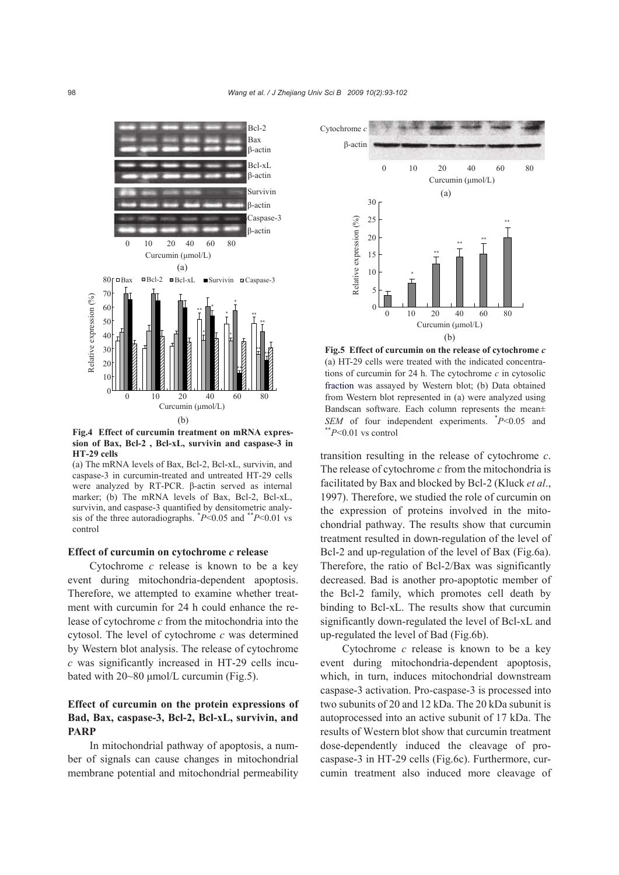

**Fig.4 Effect of curcumin treatment on mRNA expres-**  $*$  $P<0.01$  vs control **sion of Bax, Bcl-2 , Bcl-xL, survivin and caspase-3 in HT-29 cells** 

(a) The mRNA levels of Bax, Bcl-2, Bcl-xL, survivin, and caspase-3 in curcumin-treated and untreated HT-29 cells were analyzed by RT-PCR. β-actin served as internal marker; (b) The mRNA levels of Bax, Bcl-2, Bcl-xL, survivin, and caspase-3 quantified by densitometric analysis of the three autoradiographs. \* *P*<0.05 and \*\**P*<0.01 vs control

## **Effect of curcumin on cytochrome** *c* **release**

Cytochrome *c* release is known to be a key event during mitochondria-dependent apoptosis. Therefore, we attempted to examine whether treatment with curcumin for 24 h could enhance the release of cytochrome *c* from the mitochondria into the cytosol. The level of cytochrome *c* was determined by Western blot analysis. The release of cytochrome *c* was significantly increased in HT-29 cells incubated with 20~80 μmol/L curcumin (Fig.5).

# **Effect of curcumin on the protein expressions of Bad, Bax, caspase-3, Bcl-2, Bcl-xL, survivin, and PARP**

In mitochondrial pathway of apoptosis, a number of signals can cause changes in mitochondrial membrane potential and mitochondrial permeability



**Fig.5 Effect of curcumin on the release of cytochrome** *c* (a) HT-29 cells were treated with the indicated concentrations of curcumin for 24 h. The cytochrome *c* in cytosolic fraction was assayed by Western blot; (b) Data obtained from Western blot represented in (a) were analyzed using Bandscan software. Each column represents the mean± *SEM* of four independent experiments.  $P<0.05$  and

transition resulting in the release of cytochrome *c*. The release of cytochrome *c* from the mitochondria is facilitated by Bax and blocked by Bcl-2 (Kluck *et al*., 1997). Therefore, we studied the role of curcumin on the expression of proteins involved in the mitochondrial pathway. The results show that curcumin treatment resulted in down-regulation of the level of Bcl-2 and up-regulation of the level of Bax (Fig.6a). Therefore, the ratio of Bcl-2/Bax was significantly decreased. Bad is another pro-apoptotic member of the Bcl-2 family, which promotes cell death by binding to Bcl-xL. The results show that curcumin significantly down-regulated the level of Bcl-xL and up-regulated the level of Bad (Fig.6b).

Cytochrome *c* release is known to be a key event during mitochondria-dependent apoptosis, which, in turn, induces mitochondrial downstream caspase-3 activation. Pro-caspase-3 is processed into two subunits of 20 and 12 kDa. The 20 kDa subunit is autoprocessed into an active subunit of 17 kDa. The results of Western blot show that curcumin treatment dose-dependently induced the cleavage of procaspase-3 in HT-29 cells (Fig.6c). Furthermore, curcumin treatment also induced more cleavage of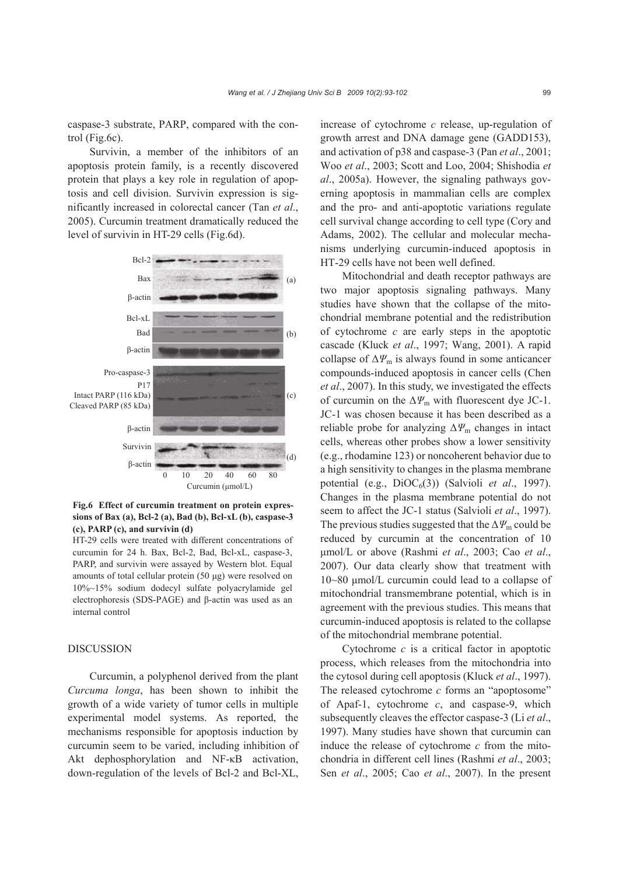caspase-3 substrate, PARP, compared with the control (Fig.6c).

Survivin, a member of the inhibitors of an apoptosis protein family, is a recently discovered protein that plays a key role in regulation of apoptosis and cell division. Survivin expression is significantly increased in colorectal cancer (Tan *et al*., 2005). Curcumin treatment dramatically reduced the level of survivin in HT-29 cells (Fig.6d).



**Fig.6 Effect of curcumin treatment on protein expressions of Bax (a), Bcl-2 (a), Bad (b), Bcl-xL (b), caspase-3 (c), PARP (c), and survivin (d)** 

HT-29 cells were treated with different concentrations of curcumin for 24 h. Bax, Bcl-2, Bad, Bcl-xL, caspase-3, PARP, and survivin were assayed by Western blot. Equal amounts of total cellular protein (50 μg) were resolved on 10%~15% sodium dodecyl sulfate polyacrylamide gel electrophoresis (SDS-PAGE) and β-actin was used as an internal control

## **DISCUSSION**

Curcumin, a polyphenol derived from the plant *Curcuma longa*, has been shown to inhibit the growth of a wide variety of tumor cells in multiple experimental model systems. As reported, the mechanisms responsible for apoptosis induction by curcumin seem to be varied, including inhibition of Akt dephosphorylation and NF-κB activation, down-regulation of the levels of Bcl-2 and Bcl-XL, increase of cytochrome *c* release, up-regulation of growth arrest and DNA damage gene (GADD153), and activation of p38 and caspase-3 (Pan *et al*., 2001; Woo *et al*., 2003; Scott and Loo, 2004; Shishodia *et al*., 2005a). However, the signaling pathways governing apoptosis in mammalian cells are complex and the pro- and anti-apoptotic variations regulate cell survival change according to cell type (Cory and Adams, 2002). The cellular and molecular mechanisms underlying curcumin-induced apoptosis in HT-29 cells have not been well defined.

Mitochondrial and death receptor pathways are two major apoptosis signaling pathways. Many studies have shown that the collapse of the mitochondrial membrane potential and the redistribution of cytochrome *c* are early steps in the apoptotic cascade (Kluck *et al*., 1997; Wang, 2001). A rapid collapse of  $\Delta \Psi_m$  is always found in some anticancer compounds-induced apoptosis in cancer cells (Chen *et al*., 2007). In this study, we investigated the effects of curcumin on the  $\Delta \Psi_{\text{m}}$  with fluorescent dye JC-1. JC-1 was chosen because it has been described as a reliable probe for analyzing  $\Delta \varPsi_m$  changes in intact cells, whereas other probes show a lower sensitivity (e.g., rhodamine 123) or noncoherent behavior due to a high sensitivity to changes in the plasma membrane potential (e.g.,  $DiOC<sub>6</sub>(3)$ ) (Salvioli *et al.*, 1997). Changes in the plasma membrane potential do not seem to affect the JC-1 status (Salvioli *et al*., 1997). The previous studies suggested that the  $\Delta \varPsi_{\rm m}$  could be reduced by curcumin at the concentration of 10 μmol/L or above (Rashmi *et al*., 2003; Cao *et al*., 2007). Our data clearly show that treatment with 10~80 μmol/L curcumin could lead to a collapse of mitochondrial transmembrane potential, which is in agreement with the previous studies. This means that curcumin-induced apoptosis is related to the collapse of the mitochondrial membrane potential.

Cytochrome *c* is a critical factor in apoptotic process, which releases from the mitochondria into the cytosol during cell apoptosis (Kluck *et al*., 1997). The released cytochrome *c* forms an "apoptosome" of Apaf-1, cytochrome *c*, and caspase-9, which subsequently cleaves the effector caspase-3 (Li *et al*., 1997). Many studies have shown that curcumin can induce the release of cytochrome *c* from the mitochondria in different cell lines (Rashmi *et al*., 2003; Sen *et al*., 2005; Cao *et al*., 2007). In the present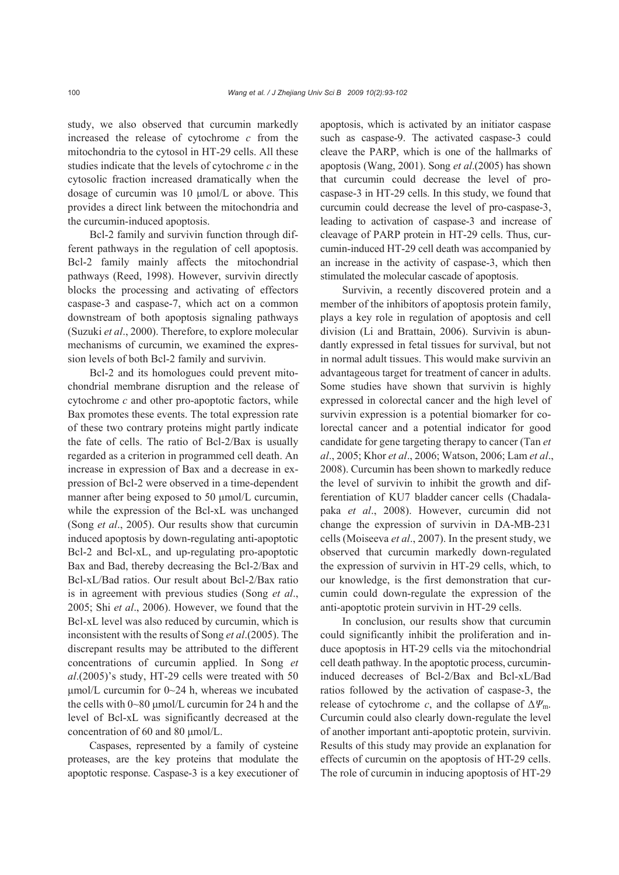study, we also observed that curcumin markedly increased the release of cytochrome *c* from the mitochondria to the cytosol in HT-29 cells. All these studies indicate that the levels of cytochrome *c* in the cytosolic fraction increased dramatically when the dosage of curcumin was 10 μmol/L or above. This provides a direct link between the mitochondria and the curcumin-induced apoptosis.

Bcl-2 family and survivin function through different pathways in the regulation of cell apoptosis. Bcl-2 family mainly affects the mitochondrial pathways (Reed, 1998). However, survivin directly blocks the processing and activating of effectors caspase-3 and caspase-7, which act on a common downstream of both apoptosis signaling pathways (Suzuki *et al*., 2000). Therefore, to explore molecular mechanisms of curcumin, we examined the expression levels of both Bcl-2 family and survivin.

Bcl-2 and its homologues could prevent mitochondrial membrane disruption and the release of cytochrome *c* and other pro-apoptotic factors, while Bax promotes these events. The total expression rate of these two contrary proteins might partly indicate the fate of cells. The ratio of Bcl-2/Bax is usually regarded as a criterion in programmed cell death. An increase in expression of Bax and a decrease in expression of Bcl-2 were observed in a time-dependent manner after being exposed to 50 μmol/L curcumin, while the expression of the Bcl-xL was unchanged (Song *et al*., 2005). Our results show that curcumin induced apoptosis by down-regulating anti-apoptotic Bcl-2 and Bcl-xL, and up-regulating pro-apoptotic Bax and Bad, thereby decreasing the Bcl-2/Bax and Bcl-xL/Bad ratios. Our result about Bcl-2/Bax ratio is in agreement with previous studies (Song *et al*., 2005; Shi *et al*., 2006). However, we found that the Bcl-xL level was also reduced by curcumin, which is inconsistent with the results of Song *et al*.(2005). The discrepant results may be attributed to the different concentrations of curcumin applied. In Song *et al*.(2005)'s study, HT-29 cells were treated with 50 μmol/L curcumin for 0~24 h, whereas we incubated the cells with 0~80 μmol/L curcumin for 24 h and the level of Bcl-xL was significantly decreased at the concentration of 60 and 80 μmol/L.

Caspases, represented by a family of cysteine proteases, are the key proteins that modulate the apoptotic response. Caspase-3 is a key executioner of apoptosis, which is activated by an initiator caspase such as caspase-9. The activated caspase-3 could cleave the PARP, which is one of the hallmarks of apoptosis (Wang, 2001). Song *et al*.(2005) has shown that curcumin could decrease the level of procaspase-3 in HT-29 cells. In this study, we found that curcumin could decrease the level of pro-caspase-3, leading to activation of caspase-3 and increase of cleavage of PARP protein in HT-29 cells. Thus, curcumin-induced HT-29 cell death was accompanied by an increase in the activity of caspase-3, which then stimulated the molecular cascade of apoptosis.

Survivin, a recently discovered protein and a member of the inhibitors of apoptosis protein family, plays a key role in regulation of apoptosis and cell division (Li and Brattain, 2006). Survivin is abundantly expressed in fetal tissues for survival, but not in normal adult tissues. This would make survivin an advantageous target for treatment of cancer in adults. Some studies have shown that survivin is highly expressed in colorectal cancer and the high level of survivin expression is a potential biomarker for colorectal cancer and a potential indicator for good candidate for gene targeting therapy to cancer (Tan *et al*., 2005; Khor *et al*., 2006; Watson, 2006; Lam *et al*., 2008). Curcumin has been shown to markedly reduce the level of survivin to inhibit the growth and differentiation of KU7 bladder cancer cells (Chadalapaka *et al*., 2008). However, curcumin did not change the expression of survivin in DA-MB-231 cells (Moiseeva *et al*., 2007). In the present study, we observed that curcumin markedly down-regulated the expression of survivin in HT-29 cells, which, to our knowledge, is the first demonstration that curcumin could down-regulate the expression of the anti-apoptotic protein survivin in HT-29 cells.

In conclusion, our results show that curcumin could significantly inhibit the proliferation and induce apoptosis in HT-29 cells via the mitochondrial cell death pathway. In the apoptotic process, curcumininduced decreases of Bcl-2/Bax and Bcl-xL/Bad ratios followed by the activation of caspase-3, the release of cytochrome *c*, and the collapse of  $\Delta \varPsi_m$ . Curcumin could also clearly down-regulate the level of another important anti-apoptotic protein, survivin. Results of this study may provide an explanation for effects of curcumin on the apoptosis of HT-29 cells. The role of curcumin in inducing apoptosis of HT-29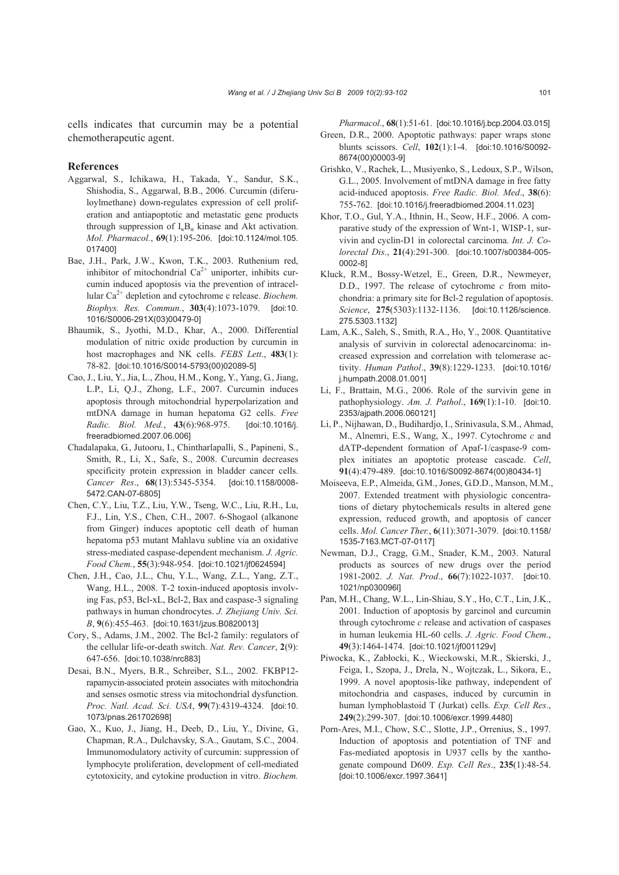cells indicates that curcumin may be a potential chemotherapeutic agent.

#### **References**

- Aggarwal, S., Ichikawa, H., Takada, Y., Sandur, S.K., Shishodia, S., Aggarwal, B.B., 2006. Curcumin (diferuloylmethane) down-regulates expression of cell proliferation and antiapoptotic and metastatic gene products through suppression of  $I_kB_\alpha$  kinase and Akt activation. *Mol. Pharmacol.*, **69**(1):195-206. [doi:10.1124/mol.105. 017400]
- Bae, J.H., Park, J.W., Kwon, T.K., 2003. Ruthenium red, inhibitor of mitochondrial  $Ca^{2+}$  uniporter, inhibits curcumin induced apoptosis via the prevention of intracellular Ca<sup>2+</sup> depletion and cytochrome c release. *Biochem*. *Biophys. Res. Commun.*, **303**(4):1073-1079. [doi:10. 1016/S0006-291X(03)00479-0]
- Bhaumik, S., Jyothi, M.D., Khar, A., 2000. Differential modulation of nitric oxide production by curcumin in host macrophages and NK cells. *FEBS Lett*., **483**(1): 78-82. [doi:10.1016/S0014-5793(00)02089-5]
- Cao, J., Liu, Y., Jia, L., Zhou, H.M., Kong, Y., Yang, G., Jiang, L.P., Li, Q.J., Zhong, L.F., 2007. Curcumin induces apoptosis through mitochondrial hyperpolarization and mtDNA damage in human hepatoma G2 cells. *Free Radic. Biol. Med.*, **43**(6):968-975. [doi:10.1016/j. freeradbiomed.2007.06.006]
- Chadalapaka, G., Jutooru, I., Chintharlapalli, S., Papineni, S., Smith, R., Li, X., Safe, S., 2008. Curcumin decreases specificity protein expression in bladder cancer cells. *Cancer Res*., **68**(13):5345-5354. [doi:10.1158/0008- 5472.CAN-07-6805]
- Chen, C.Y., Liu, T.Z., Liu, Y.W., Tseng, W.C., Liu, R.H., Lu, F.J., Lin, Y.S., Chen, C.H., 2007. 6-Shogaol (alkanone from Ginger) induces apoptotic cell death of human hepatoma p53 mutant Mahlavu subline via an oxidative stress-mediated caspase-dependent mechanism. *J. Agric. Food Chem.*, **55**(3):948-954. [doi:10.1021/jf0624594]
- Chen, J.H., Cao, J.L., Chu, Y.L., Wang, Z.L., Yang, Z.T., Wang, H.L., 2008. T-2 toxin-induced apoptosis involving Fas, p53, Bcl-xL, Bcl-2, Bax and caspase-3 signaling pathways in human chondrocytes. *J. Zhejiang Univ. Sci. B*, **9**(6):455-463. [doi:10.1631/jzus.B0820013]
- Cory, S., Adams, J.M., 2002. The Bcl-2 family: regulators of the cellular life-or-death switch. *Nat. Rev. Cancer*, **2**(9): 647-656. [doi:10.1038/nrc883]
- Desai, B.N., Myers, B.R., Schreiber, S.L., 2002. FKBP12 rapamycin-associated protein associates with mitochondria and senses osmotic stress via mitochondrial dysfunction. *Proc. Natl. Acad. Sci. USA*, **99**(7):4319-4324. [doi:10. 1073/pnas.261702698]
- Gao, X., Kuo, J., Jiang, H., Deeb, D., Liu, Y., Divine, G., Chapman, R.A., Dulchavsky, S.A., Gautam, S.C., 2004. Immunomodulatory activity of curcumin: suppression of lymphocyte proliferation, development of cell-mediated cytotoxicity, and cytokine production in vitro. *Biochem.*

*Pharmacol*., **68**(1):51-61. [doi:10.1016/j.bcp.2004.03.015] Green, D.R., 2000. Apoptotic pathways: paper wraps stone blunts scissors. *Cell*, **102**(1):1-4. [doi:10.1016/S0092- 8674(00)00003-9]

- Grishko, V., Rachek, L., Musiyenko, S., Ledoux, S.P., Wilson, G.L., 2005. Involvement of mtDNA damage in free fatty acid-induced apoptosis. *Free Radic. Biol. Med*., **38**(6): 755-762. [doi:10.1016/j.freeradbiomed.2004.11.023]
- Khor, T.O., Gul, Y.A., Ithnin, H., Seow, H.F., 2006. A comparative study of the expression of Wnt-1, WISP-1, survivin and cyclin-D1 in colorectal carcinoma. *Int. J. Colorectal Dis*., **21**(4):291-300. [doi:10.1007/s00384-005- 0002-8]
- Kluck, R.M., Bossy-Wetzel, E., Green, D.R., Newmeyer, D.D., 1997. The release of cytochrome *c* from mitochondria: a primary site for Bcl-2 regulation of apoptosis. *Science*, **275**(5303):1132-1136. [doi:10.1126/science. 275.5303.1132]
- Lam, A.K., Saleh, S., Smith, R.A., Ho, Y., 2008. Quantitative analysis of survivin in colorectal adenocarcinoma: increased expression and correlation with telomerase activity. *Human Pathol*., **39**(8):1229-1233. [doi:10.1016/ j.humpath.2008.01.001]
- Li, F., Brattain, M.G., 2006. Role of the survivin gene in pathophysiology. *Am. J. Pathol*., **169**(1):1-10. [doi:10. 2353/ajpath.2006.060121]
- Li, P., Nijhawan, D., Budihardjo, I., Srinivasula, S.M., Ahmad, M., Alnemri, E.S., Wang, X., 1997. Cytochrome *c* and dATP-dependent formation of Apaf-1/caspase-9 complex initiates an apoptotic protease cascade. *Cell*, **91**(4):479-489. [doi:10.1016/S0092-8674(00)80434-1]
- Moiseeva, E.P., Almeida, G.M., Jones, G.D.D., Manson, M.M., 2007. Extended treatment with physiologic concentrations of dietary phytochemicals results in altered gene expression, reduced growth, and apoptosis of cancer cells. *Mol. Cancer Ther.*, **6**(11):3071-3079. [doi:10.1158/ 1535-7163.MCT-07-0117]
- Newman, D.J., Cragg, G.M., Snader, K.M., 2003. Natural products as sources of new drugs over the period 1981-2002. *J. Nat. Prod*., **66**(7):1022-1037. [doi:10. 1021/np030096l]
- Pan, M.H., Chang, W.L., Lin-Shiau, S.Y., Ho, C.T., Lin, J.K., 2001. Induction of apoptosis by garcinol and curcumin through cytochrome *c* release and activation of caspases in human leukemia HL-60 cells. *J. Agric. Food Chem*., **49**(3):1464-1474. [doi:10.1021/jf001129v]
- Piwocka, K., Zabłocki, K., Wieckowski, M.R., Skierski, J., Feiga, I., Szopa, J., Drela, N., Wojtczak, L., Sikora, E., 1999. A novel apoptosis-like pathway, independent of mitochondria and caspases, induced by curcumin in human lymphoblastoid T (Jurkat) cells. *Exp. Cell Res*., **249**(2):299-307. [doi:10.1006/excr.1999.4480]
- Porn-Ares, M.I., Chow, S.C., Slotte, J.P., Orrenius, S., 1997. Induction of apoptosis and potentiation of TNF and Fas-mediated apoptosis in U937 cells by the xanthogenate compound D609. *Exp. Cell Res*., **235**(1):48-54. [doi:10.1006/excr.1997.3641]